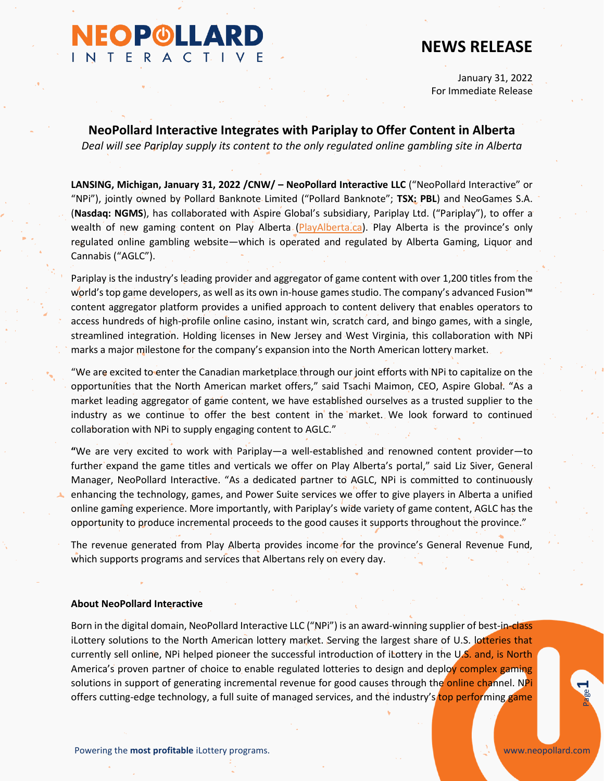# **NEOP©LLARD** INTERACTIVE

## **NEWS RELEASE**

January 31, 2022 For Immediate Release

**NeoPollard Interactive Integrates with Pariplay to Offer Content in Alberta** *Deal will see Pariplay supply its content to the only regulated online gambling site in Alberta*

**LANSING, Michigan, January 31, 2022 /CNW/ – NeoPollard Interactive LLC** ("NeoPollard Interactive" or "NPi"), jointly owned by Pollard Banknote Limited ("Pollard Banknote"; **TSX: PBL**) and NeoGames S.A. (**Nasdaq: NGMS**), has collaborated with Aspire Global's subsidiary, Pariplay Ltd. ("Pariplay"), to offer a wealth of new gaming content on Play Alberta [\(PlayAlberta.ca\)](https://playalberta.ca/). Play Alberta is the province's only regulated online gambling website—which is operated and regulated by Alberta Gaming, Liquor and Cannabis ("AGLC").

Pariplay is the industry's leading provider and aggregator of game content with over 1,200 titles from the world's top game developers, as well as its own in-house games studio. The company's advanced Fusion™ content aggregator platform provides a unified approach to content delivery that enables operators to access hundreds of high-profile online casino, instant win, scratch card, and bingo games, with a single, streamlined integration. Holding licenses in New Jersey and West Virginia, this collaboration with NPi marks a major milestone for the company's expansion into the North American lottery market.

"We are excited to enter the Canadian marketplace through our joint efforts with NPi to capitalize on the opportunities that the North American market offers," said Tsachi Maimon, CEO, Aspire Global. "As a market leading aggregator of game content, we have established ourselves as a trusted supplier to the industry as we continue to offer the best content in the market. We look forward to continued collaboration with NPi to supply engaging content to AGLC."

**"**We are very excited to work with Pariplay—a well-established and renowned content provider—to further expand the game titles and verticals we offer on Play Alberta's portal," said Liz Siver, General Manager, NeoPollard Interactive. "As a dedicated partner to AGLC, NPi is committed to continuously enhancing the technology, games, and Power Suite services we offer to give players in Alberta a unified online gaming experience. More importantly, with Pariplay's wide variety of game content, AGLC has the opportunity to produce incremental proceeds to the good causes it supports throughout the province."

The revenue generated from Play Alberta provides income for the province's General Revenue Fund, which supports programs and services that Albertans rely on every day.

#### **About NeoPollard Interactive**

Powering the **most profitable** iLottery programs.<br>Powering the **most profitable** iLottery programs. Born in the digital domain, NeoPollard Interactive LLC ("NPi") is an award-winning supplier of best-in-class iLottery solutions to the North American lottery market. Serving the largest share of U.S. lotteries that currently sell online, NPi helped pioneer the successful introduction of iLottery in the U.S. and, is North America's proven partner of choice to enable regulated lotteries to design and deploy complex gaming solutions in support of generating incremental revenue for good causes through the online channel. NPi

**1**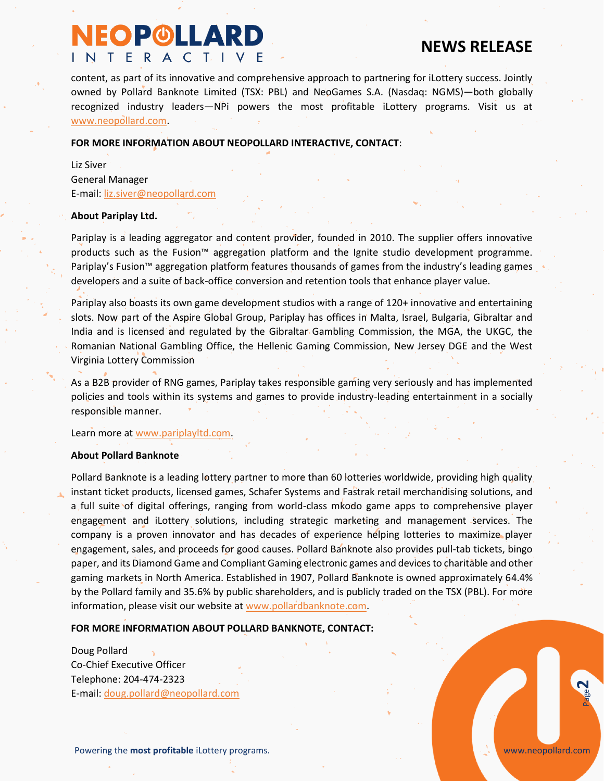## **NEOP©LLARD** INTERACTIVE

## **NEWS RELEASE**

content, as part of its innovative and comprehensive approach to partnering for iLottery success. Jointly owned by Pollard Banknote Limited (TSX: PBL) and NeoGames S.A. (Nasdaq: NGMS)—both globally recognized industry leaders—NPi powers the most profitable iLottery programs. Visit us at [www.neopollard.com.](http://www.neopollard.com/)

#### **FOR MORE INFORMATION ABOUT NEOPOLLARD INTERACTIVE, CONTACT**:

Liz Siver General Manager E-mail: [liz.siver@neopollard.com](mailto:liz.siver@neopollard.com)

#### **About Pariplay Ltd.**

Pariplay is a leading aggregator and content provider, founded in 2010. The supplier offers innovative products such as the Fusion™ aggregation platform and the Ignite studio development programme. Pariplay's Fusion™ aggregation platform features thousands of games from the industry's leading games developers and a suite of back-office conversion and retention tools that enhance player value.

Pariplay also boasts its own game development studios with a range of 120+ innovative and entertaining slots. Now part of the Aspire Global Group, Pariplay has offices in Malta, Israel, Bulgaria, Gibraltar and India and is licensed and regulated by the Gibraltar Gambling Commission, the MGA, the UKGC, the Romanian National Gambling Office, the Hellenic Gaming Commission, New Jersey DGE and the West Virginia Lottery Commission

As a B2B provider of RNG games, Pariplay takes responsible gaming very seriously and has implemented policies and tools within its systems and games to provide industry-leading entertainment in a socially responsible manner.

Learn more at [www.pariplayltd.com.](https://pariplayltd.com/)

#### **About Pollard Banknote**

Pollard Banknote is a leading lottery partner to more than 60 lotteries worldwide, providing high quality instant ticket products, licensed games, Schafer Systems and Fastrak retail merchandising solutions, and a full suite of digital offerings, ranging from world-class mkodo game apps to comprehensive player engagement and iLottery solutions, including strategic marketing and management services. The company is a proven innovator and has decades of experience helping lotteries to maximize player engagement, sales, and proceeds for good causes. Pollard Banknote also provides pull-tab tickets, bingo paper, and its Diamond Game and Compliant Gaming electronic games and devices to charitable and other gaming markets in North America. Established in 1907, Pollard Banknote is owned approximately 64.4% by the Pollard family and 35.6% by public shareholders, and is publicly traded on the TSX (PBL). For more information, please visit our website at [www.pollardbanknote.com.](file:///C:/Users/julin.shaw/AppData/Local/Microsoft/Windows/INetCache/Content.Outlook/CSQ3LKVA/www.pollardbanknote.com)

#### **FOR MORE INFORMATION ABOUT POLLARD BANKNOTE, CONTACT:**

Doug Pollard Co-Chief Executive Officer Telephone: 204-474-2323 E-mail: [doug.pollard@neopollard.com](mailto:doug.pollard@neopollard.com)

Powering the **most profitable** iLottery programs.

**2**